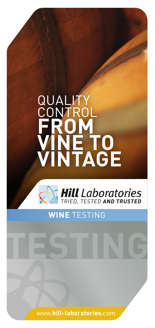# **QUALI CONTROL FROM VINE TO VINTAGE**





# **WINE** TESTING

www.**hill-laboratories**.com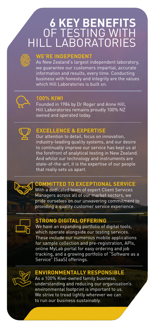# **6 KEY BENEFITS** OF TESTING WITH HILL LABORATORIES



## **WE'RE INDEPENDENT**

As New Zealand's largest independent laboratory, we guarantee our customers impartial, accurate information and results, every time. Conducting business with honesty and integrity are the values which Hill Laboratories is built on.



# **100% KIWI**

Founded in 1984 by Dr Roger and Anne Hill, Hill Laboratories remains proudly 100% NZ owned and operated today.



# **EXCELLENCE & EXPERTISE**

Our attention to detail, focus on innovation, industry-leading quality systems, and our desire to continually improve our service has kept us at the forefront of analytical testing in New Zealand. And whilst our technology and instruments are state-of-the-art, it is the expertise of our people that really sets us apart.



# **COMMITTED TO EXCEPTIONAL SERVICE**

With a dedicated team of expert Client Services Managers across all of our market sectors, we pride ourselves on our unwavering commitment to providing a quality customer service experience.



#### **STRONG DIGITAL OFFERING**

We have an expanding portfolio of digital tools, which operate alongside our testing services. These include our numerous mobile applications for sample collection and pre-registration, APIs, online MyLab portal for easy ordering and job tracking, and a growing portfolio of "Software as a Service" (SaaS) offerings.



## **ENVIRONMENTALLY RESPONSIBLE**

As a 100% Kiwi-owned family business, understanding and reducing our organisation's environmental footprint is important to us. We strive to tread lightly wherever we can to run our business sustainably.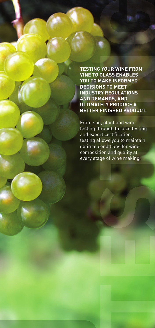**TESTING YOUR WINE FROM VINE TO GLASS ENABLES YOU TO MAKE INFORMED DECISIONS TO MEET INDUSTRY REGULATIONS AND DEMANDS, AND ULTIMATELY PRODUCE A BETTER FINISHED PRODUCT.**

From soil, plant and wine testing through to juice testing and export certification, testing allows you to maintain optimal conditions for wine composition and quality at every stage of wine making.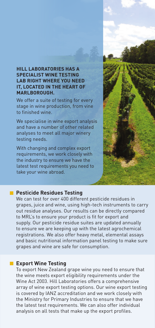#### **HILL LABORATORIES HAS A SPECIALIST WINE TESTING LAB RIGHT WHERE YOU NEED IT, LOCATED IN THE HEART OF MARLBOROUGH.**

We offer a suite of testing for every stage in wine production, from vine to finished wine.

We specialise in wine export analysis and have a number of other related analyses to meet all major winery testing needs.

With changing and complex export requirements, we work closely with the industry to ensure we have the latest test requirements you need to take your wine abroad.



#### **Pesticide Residues Testing**

We can test for over 400 different pesticide residues in grapes, juice and wine, using high-tech instruments to carry out residue analyses. Our results can be directly compared to MRL's to ensure your product is fit for export and supply. Our pesticide residue suites are updated annually to ensure we are keeping up with the latest agrochemical registrations. We also offer heavy metal, elemental assays and basic nutritional information panel testing to make sure grapes and wine are safe for consumption.

#### **Export Wine Testing**

To export New Zealand grape wine you need to ensure that the wine meets export eligibility requirements under the Wine Act 2003. Hill Laboratories offers a comprehensive array of wine export testing options. Our wine export testing is covered by IANZ accreditation and we work closely with the Ministry for Primary Industries to ensure that we have the latest test requirements. We can also offer individual analysis on all tests that make up the export profiles.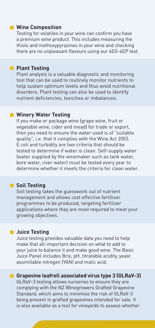#### **Wine Composition**

Testing for volatiles in your wine can confirm you have a premium wine product. This includes measuring the thiols and methoxypyrazines in your wine and checking there are no unpleasant flavours using our 4EG-4EP test.

#### **Plant Testing**

Plant analysis is a valuable diagnostic and monitoring tool that can be used to routinely monitor nutrients to help sustain optimum levels and thus avoid nutritional disorders. Plant testing can also be used to identify nutrient deficiencies, toxicities or imbalances.

#### **Winery Water Testing**

If you make or package wine (grape wine, fruit or vegetable wine, cider and mead) for trade or export, then you need to ensure the water used is of "suitable quality", i.e. that it complies with the Wine Act 2003. E.coli and turbidity are two criteria that should be tested to determine if water is clean. Self-supply water (water supplied by the winemaker such as tank water, bore water, river water) must be tested every year to determine whether it meets the criteria for clean water.

#### **Soil Testing**

Soil testing takes the guesswork out of nutrient management and allows cost effective fertiliser programmes to be produced, targeting fertiliser applications where they are most required to meet your growing objectives.

#### **Juice Testing**

Juice testing provides valuable data you need to help make that all-important decision on what to add to your juice to balance it and make good wine. The Basic Juice Panel includes Brix, pH, titratable acidity, yeast assimilable nitrogen (YAN) and malic acid.

**Grapevine leafroll associated virus type 3 (GLRaV-3)** GLRaV-3 testing allows nurseries to ensure they are complying with the NZ Winegrowers Grafted Grapevine Standard, which aims to minimise the risk of GLRaV-3 being present in grafted grapevines intended for sale. It is also available as a tool for vineyards to assess whether